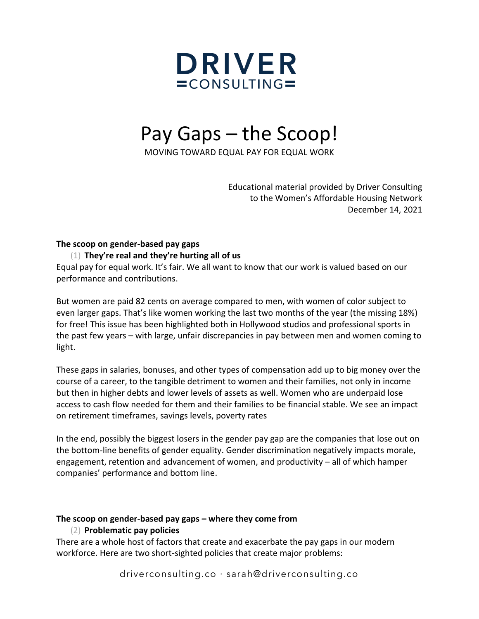

# Pay Gaps – the Scoop!

MOVING TOWARD EQUAL PAY FOR EQUAL WORK

Educational material provided by Driver Consulting to the Women's Affordable Housing Network December 14, 2021

#### **The scoop on gender-based pay gaps**

#### (1) **They're real and they're hurting all of us**

Equal pay for equal work. It's fair. We all want to know that our work is valued based on our performance and contributions.

But women are paid 82 cents on average compared to men, with women of color subject to even larger gaps. That's like women working the last two months of the year (the missing 18%) for free! This issue has been highlighted both in Hollywood studios and professional sports in the past few years – with large, unfair discrepancies in pay between men and women coming to light.

These gaps in salaries, bonuses, and other types of compensation add up to big money over the course of a career, to the tangible detriment to women and their families, not only in income but then in higher debts and lower levels of assets as well. Women who are underpaid lose access to cash flow needed for them and their families to be financial stable. We see an impact on retirement timeframes, savings levels, poverty rates

In the end, possibly the biggest losers in the gender pay gap are the companies that lose out on the bottom-line benefits of gender equality. Gender discrimination negatively impacts morale, engagement, retention and advancement of women, and productivity – all of which hamper companies' performance and bottom line.

# **The scoop on gender-based pay gaps – where they come from**

# (2) **Problematic pay policies**

There are a whole host of factors that create and exacerbate the pay gaps in our modern workforce. Here are two short-sighted policies that create major problems: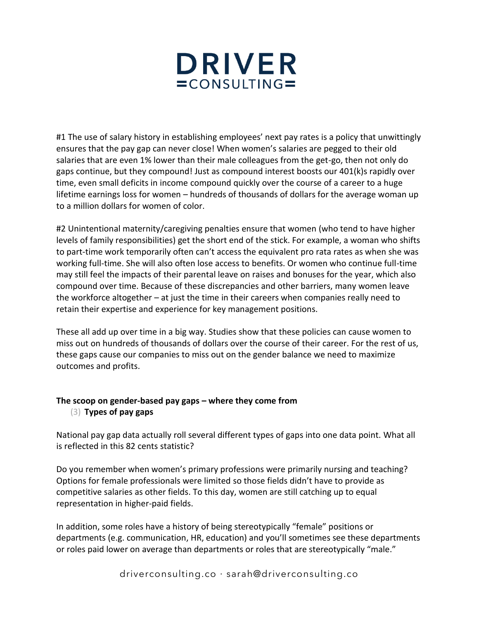

#1 The use of salary history in establishing employees' next pay rates is a policy that unwittingly ensures that the pay gap can never close! When women's salaries are pegged to their old salaries that are even 1% lower than their male colleagues from the get-go, then not only do gaps continue, but they compound! Just as compound interest boosts our 401(k)s rapidly over time, even small deficits in income compound quickly over the course of a career to a huge lifetime earnings loss for women – hundreds of thousands of dollars for the average woman up to a million dollars for women of color.

#2 Unintentional maternity/caregiving penalties ensure that women (who tend to have higher levels of family responsibilities) get the short end of the stick. For example, a woman who shifts to part-time work temporarily often can't access the equivalent pro rata rates as when she was working full-time. She will also often lose access to benefits. Or women who continue full-time may still feel the impacts of their parental leave on raises and bonuses for the year, which also compound over time. Because of these discrepancies and other barriers, many women leave the workforce altogether – at just the time in their careers when companies really need to retain their expertise and experience for key management positions.

These all add up over time in a big way. Studies show that these policies can cause women to miss out on hundreds of thousands of dollars over the course of their career. For the rest of us, these gaps cause our companies to miss out on the gender balance we need to maximize outcomes and profits.

# **The scoop on gender-based pay gaps – where they come from** (3) **Types of pay gaps**

National pay gap data actually roll several different types of gaps into one data point. What all is reflected in this 82 cents statistic?

Do you remember when women's primary professions were primarily nursing and teaching? Options for female professionals were limited so those fields didn't have to provide as competitive salaries as other fields. To this day, women are still catching up to equal representation in higher-paid fields.

In addition, some roles have a history of being stereotypically "female" positions or departments (e.g. communication, HR, education) and you'll sometimes see these departments or roles paid lower on average than departments or roles that are stereotypically "male."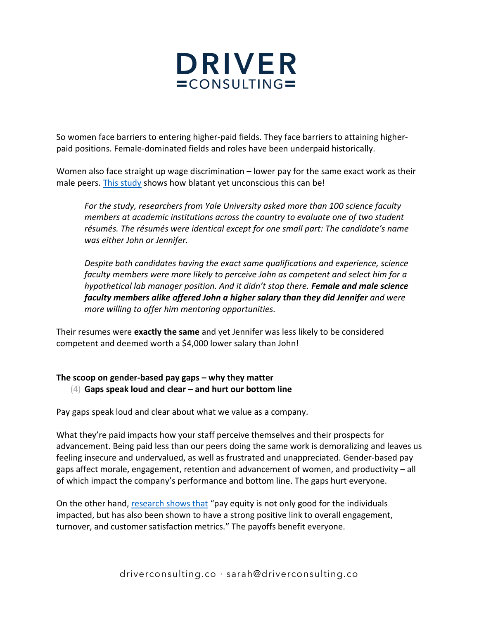

So women face barriers to entering higher-paid fields. They face barriers to attaining higherpaid positions. Female-dominated fields and roles have been underpaid historically.

Women also face straight up wage discrimination – lower pay for the same exact work as their male peers[. This study](https://gender.stanford.edu/news-publications/gender-news/why-does-john-get-stem-job-rather-jennifer) shows how blatant yet unconscious this can be!

*For the study, researchers from Yale University asked more than 100 science faculty members at academic institutions across the country to evaluate one of two student résumés. The résumés were identical except for one small part: The candidate's name was either John or Jennifer.* 

*Despite both candidates having the exact same qualifications and experience, science faculty members were more likely to perceive John as competent and select him for a hypothetical lab manager position. And it didn't stop there. Female and male science faculty members alike offered John a higher salary than they did Jennifer and were more willing to offer him mentoring opportunities.*

Their resumes were **exactly the same** and yet Jennifer was less likely to be considered competent and deemed worth a \$4,000 lower salary than John!

# **The scoop on gender-based pay gaps – why they matter** (4) **Gaps speak loud and clear – and hurt our bottom line**

Pay gaps speak loud and clear about what we value as a company.

What they're paid impacts how your staff perceive themselves and their prospects for advancement. Being paid less than our peers doing the same work is demoralizing and leaves us feeling insecure and undervalued, as well as frustrated and unappreciated. Gender-based pay gaps affect morale, engagement, retention and advancement of women, and productivity – all of which impact the company's performance and bottom line. The gaps hurt everyone.

On the other hand, [research shows that](http://www2.salary.com/l/250572/2017-03-03/c65l) "pay equity is not only good for the individuals impacted, but has also been shown to have a strong positive link to overall engagement, turnover, and customer satisfaction metrics." The payoffs benefit everyone.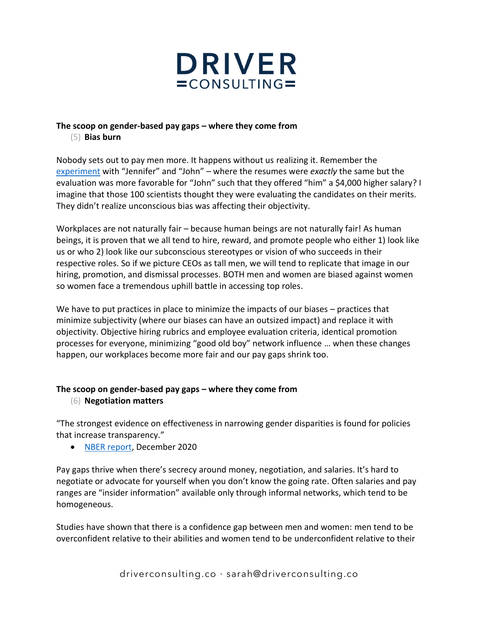

# **The scoop on gender-based pay gaps – where they come from**

(5) **Bias burn**

Nobody sets out to pay men more. It happens without us realizing it. Remember the [experiment](https://gender.stanford.edu/news-publications/gender-news/why-does-john-get-stem-job-rather-jennifer) with "Jennifer" and "John" – where the resumes were *exactly* the same but the evaluation was more favorable for "John" such that they offered "him" a \$4,000 higher salary? I imagine that those 100 scientists thought they were evaluating the candidates on their merits. They didn't realize unconscious bias was affecting their objectivity.

Workplaces are not naturally fair – because human beings are not naturally fair! As human beings, it is proven that we all tend to hire, reward, and promote people who either 1) look like us or who 2) look like our subconscious stereotypes or vision of who succeeds in their respective roles. So if we picture CEOs as tall men, we will tend to replicate that image in our hiring, promotion, and dismissal processes. BOTH men and women are biased against women so women face a tremendous uphill battle in accessing top roles.

We have to put practices in place to minimize the impacts of our biases – practices that minimize subjectivity (where our biases can have an outsized impact) and replace it with objectivity. Objective hiring rubrics and employee evaluation criteria, identical promotion processes for everyone, minimizing "good old boy" network influence … when these changes happen, our workplaces become more fair and our pay gaps shrink too.

# **The scoop on gender-based pay gaps – where they come from**

(6) **Negotiation matters**

"The strongest evidence on effectiveness in narrowing gender disparities is found for policies that increase transparency."

• [NBER report,](https://www.nber.org/papers/w28183) December 2020

Pay gaps thrive when there's secrecy around money, negotiation, and salaries. It's hard to negotiate or advocate for yourself when you don't know the going rate. Often salaries and pay ranges are "insider information" available only through informal networks, which tend to be homogeneous.

Studies have shown that there is a confidence gap between men and women: men tend to be overconfident relative to their abilities and women tend to be underconfident relative to their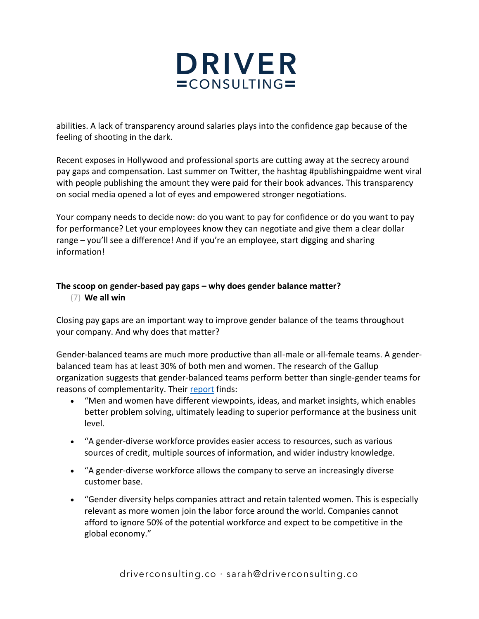

abilities. A lack of transparency around salaries plays into the confidence gap because of the feeling of shooting in the dark.

Recent exposes in Hollywood and professional sports are cutting away at the secrecy around pay gaps and compensation. Last summer on Twitter, the hashtag #publishingpaidme went viral with people publishing the amount they were paid for their book advances. This transparency on social media opened a lot of eyes and empowered stronger negotiations.

Your company needs to decide now: do you want to pay for confidence or do you want to pay for performance? Let your employees know they can negotiate and give them a clear dollar range – you'll see a difference! And if you're an employee, start digging and sharing information!

#### **The scoop on gender-based pay gaps – why does gender balance matter?** (7) **We all win**

Closing pay gaps are an important way to improve gender balance of the teams throughout your company. And why does that matter?

Gender-balanced teams are much more productive than all-male or all-female teams. A genderbalanced team has at least 30% of both men and women. The research of the Gallup organization suggests that gender-balanced teams perform better than single-gender teams for reasons of complementarity. Their [report](http://www.gallup.com/businessjournal/166220/business-benefits-gender-diversity.aspx) finds:

- "Men and women have different viewpoints, ideas, and market insights, which enables better problem solving, ultimately leading to superior performance at the business unit level.
- "A gender-diverse workforce provides easier access to resources, such as various sources of credit, multiple sources of information, and wider industry knowledge.
- "A gender-diverse workforce allows the company to serve an increasingly diverse customer base.
- "Gender diversity helps companies attract and retain talented women. This is especially relevant as more women join the labor force around the world. Companies cannot afford to ignore 50% of the potential workforce and expect to be competitive in the global economy."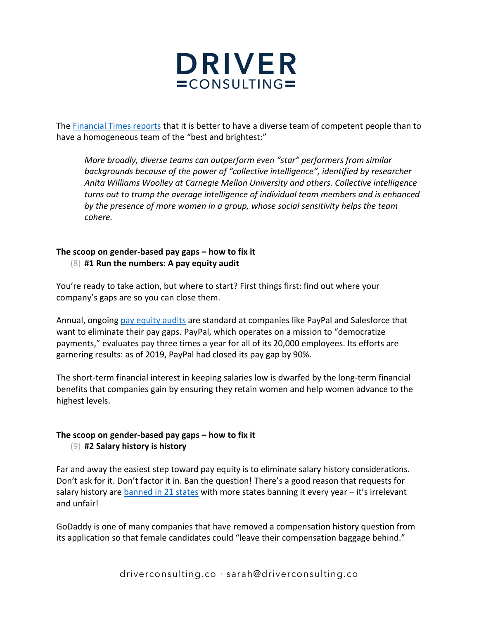

The [Financial Times reports](https://www.ft.com/content/45602ae8-74d1-11e6-bf48-b372cdb1043a) that it is better to have a diverse team of competent people than to have a homogeneous team of the "best and brightest:"

*More broadly, diverse teams can outperform even "star" performers from similar backgrounds because of the power of "collective intelligence", identified by researcher Anita Williams Woolley at Carnegie Mellon University and others. Collective intelligence turns out to trump the average intelligence of individual team members and is enhanced by the presence of more women in a group, whose social sensitivity helps the team cohere.*

#### **The scoop on gender-based pay gaps – how to fix it** (8) **#1 Run the numbers: A pay equity audit**

You're ready to take action, but where to start? First things first: find out where your company's gaps are so you can close them.

Annual, ongoing [pay equity audits](https://hbr.org/2020/11/how-to-identify-and-fix-pay-inequality-at-your-company) are standard at companies like PayPal and Salesforce that want to eliminate their pay gaps. PayPal, which operates on a mission to "democratize payments," evaluates pay three times a year for all of its 20,000 employees. Its efforts are garnering results: as of 2019, PayPal had closed its pay gap by 90%.

The short-term financial interest in keeping salaries low is dwarfed by the long-term financial benefits that companies gain by ensuring they retain women and help women advance to the highest levels.

# **The scoop on gender-based pay gaps – how to fix it** (9) **#2 Salary history is history**

Far and away the easiest step toward pay equity is to eliminate salary history considerations. Don't ask for it. Don't factor it in. Ban the question! There's a good reason that requests for salary history are [banned in 21 states](https://www.hrdive.com/news/salary-history-ban-states-list/516662/) with more states banning it every year – it's irrelevant and unfair!

GoDaddy is one of many companies that have removed a compensation history question from its application so that female candidates could "leave their compensation baggage behind."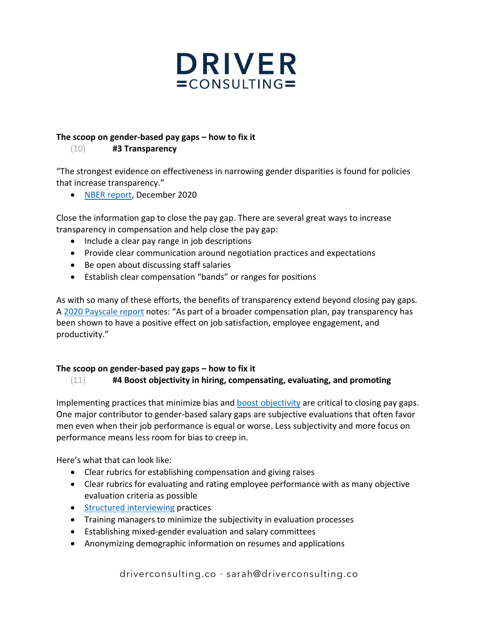

#### **The scoop on gender-based pay gaps – how to fix it**

(10) **#3 Transparency**

"The strongest evidence on effectiveness in narrowing gender disparities is found for policies that increase transparency."

• [NBER report,](https://www.nber.org/papers/w28183) December 2020

Close the information gap to close the pay gap. There are several great ways to increase transparency in compensation and help close the pay gap:

- Include a clear pay range in job descriptions
- Provide clear communication around negotiation practices and expectations
- Be open about discussing staff salaries
- Establish clear compensation "bands" or ranges for positions

As with so many of these efforts, the benefits of transparency extend beyond closing pay gaps. A [2020 Payscale report](https://www.payscale.com/compensation-trends/the-2020-gender-pay-gap-report-reveals-that-women-still-earn-less-for-equal-work/) notes: "As part of a broader compensation plan, pay transparency has been shown to have a positive effect on job satisfaction, employee engagement, and productivity."

# **The scoop on gender-based pay gaps – how to fix it**

# (11) **#4 Boost objectivity in hiring, compensating, evaluating, and promoting**

Implementing practices that minimize bias and **boost objectivity** are critical to closing pay gaps. One major contributor to gender-based salary gaps are subjective evaluations that often favor men even when their job performance is equal or worse. Less subjectivity and more focus on performance means less room for bias to creep in.

Here's what that can look like:

- Clear rubrics for establishing compensation and giving raises
- Clear rubrics for evaluating and rating employee performance with as many objective evaluation criteria as possible
- [Structured interviewing](https://rework.withgoogle.com/guides/hiring-use-structured-interviewing/steps/introduction/) practices
- Training managers to minimize the subjectivity in evaluation processes
- Establishing mixed-gender evaluation and salary committees
- Anonymizing demographic information on resumes and applications